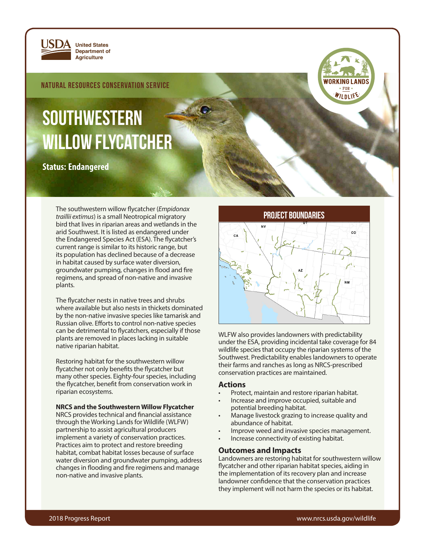

**Department of Agriculture**

Natural Resources Conservation Service

# **SOUTHWESTERN** willow flycatcher

**Status: Endangered**

PROJECT BOUNDARIES The southwestern willow flycatcher (*Empidonax traillii extimus*) is a small Neotropical migratory bird that lives in riparian areas and wetlands in the arid Southwest. It is listed as endangered under the Endangered Species Act (ESA). The flycatcher's current range is similar to its historic range, but its population has declined because of a decrease in habitat caused by surface water diversion, groundwater pumping, changes in flood and fire regimens, and spread of non-native and invasive plants.

The flycatcher nests in native trees and shrubs where available but also nests in thickets dominated by the non-native invasive species like tamarisk and Russian olive. Efforts to control non-native species can be detrimental to flycatchers, especially if those plants are removed in places lacking in suitable native riparian habitat.

Restoring habitat for the southwestern willow flycatcher not only benefits the flycatcher but many other species. Eighty-four species, including the flycatcher, benefit from conservation work in riparian ecosystems.

#### **NRCS and the Southwestern Willow Flycatcher**

NRCS provides technical and financial assistance through the Working Lands for Wildlife (WLFW) partnership to assist agricultural producers implement a variety of conservation practices. Practices aim to protect and restore breeding habitat, combat habitat losses because of surface water diversion and groundwater pumping, address changes in flooding and fire regimens and manage non-native and invasive plants.



WILDLIF

WLFW also provides landowners with predictability under the ESA, providing incidental take coverage for 84 wildlife species that occupy the riparian systems of the Southwest. Predictability enables landowners to operate their farms and ranches as long as NRCS-prescribed conservation practices are maintained.

### **Actions**

- Protect, maintain and restore riparian habitat.
- Increase and improve occupied, suitable and potential breeding habitat.
- Manage livestock grazing to increase quality and abundance of habitat.
- Improve weed and invasive species management.
- Increase connectivity of existing habitat.

## **Outcomes and Impacts**

Landowners are restoring habitat for southwestern willow flycatcher and other riparian habitat species, aiding in the implementation of its recovery plan and increase landowner confidence that the conservation practices they implement will not harm the species or its habitat.